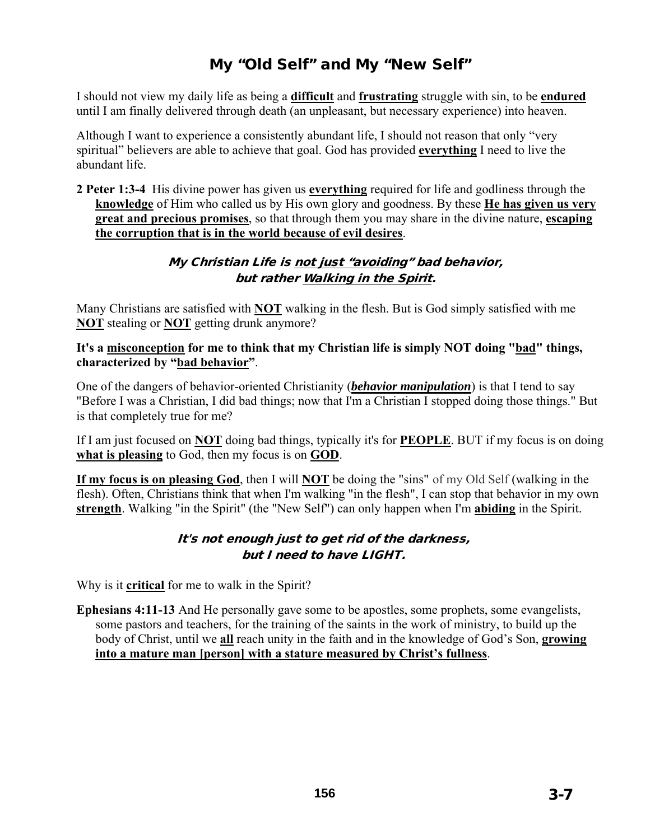# My "Old Self" and My "New Self"

I should not view my daily life as being a **difficult** and **frustrating** struggle with sin, to be **endured** until I am finally delivered through death (an unpleasant, but necessary experience) into heaven.

Although I want to experience a consistently abundant life, I should not reason that only "very spiritual" believers are able to achieve that goal. God has provided **everything** I need to live the abundant life.

**2 Peter 1:3-4** His divine power has given us **everything** required for life and godliness through the **knowledge** of Him who called us by His own glory and goodness. By these **He has given us very great and precious promises**, so that through them you may share in the divine nature, **escaping the corruption that is in the world because of evil desires**.

#### My Christian Life is not just "avoiding" bad behavior, but rather Walking in the Spirit.

Many Christians are satisfied with **NOT** walking in the flesh. But is God simply satisfied with me **NOT** stealing or **NOT** getting drunk anymore?

**It's a misconception for me to think that my Christian life is simply NOT doing "bad" things, characterized by "bad behavior"**.

One of the dangers of behavior-oriented Christianity (*behavior manipulation*) is that I tend to say "Before I was a Christian, I did bad things; now that I'm a Christian I stopped doing those things." But is that completely true for me?

If I am just focused on **NOT** doing bad things, typically it's for **PEOPLE**. BUT if my focus is on doing **what is pleasing** to God, then my focus is on **GOD**.

**If my focus is on pleasing God**, then I will **NOT** be doing the "sins" of my Old Self (walking in the flesh). Often, Christians think that when I'm walking "in the flesh", I can stop that behavior in my own **strength**. Walking "in the Spirit" (the "New Self") can only happen when I'm **abiding** in the Spirit.

#### It's not enough just to get rid of the darkness, but I need to have LIGHT.

Why is it **critical** for me to walk in the Spirit?

**Ephesians 4:11-13** And He personally gave some to be apostles, some prophets, some evangelists, some pastors and teachers, for the training of the saints in the work of ministry, to build up the body of Christ, until we **all** reach unity in the faith and in the knowledge of God's Son, **growing into a mature man [person] with a stature measured by Christ's fullness**.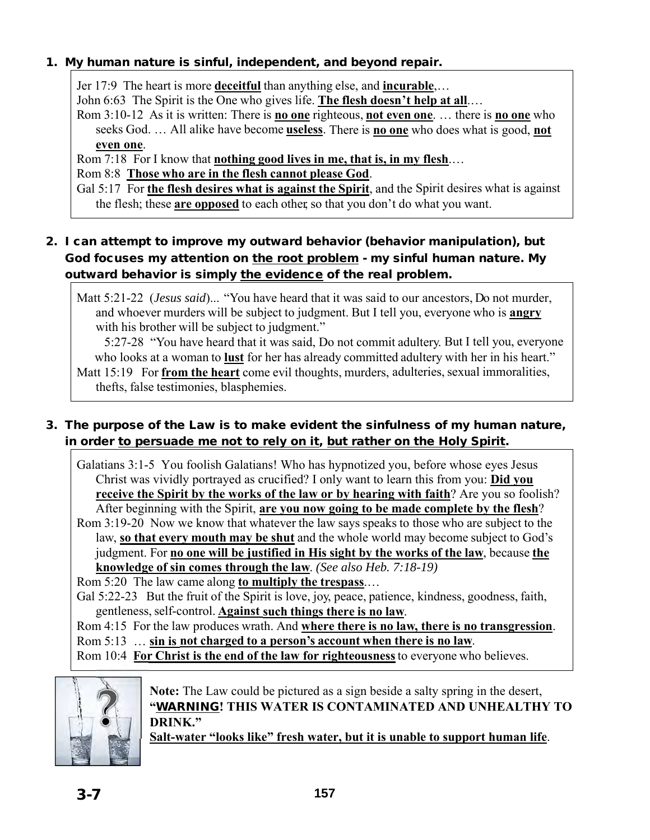#### 1. My human nature is sinful, independent, and beyond repair.

Jer 17:9 The heart is more **deceitful** than anything else, and **incurable**,…

John 6:63 The Spirit is the One who gives life. **The flesh doesn't help at all**.…

Rom 3:10-12 As it is written: There is **no one** righteous, **not even one**. … there is **no one** who seeks God. … All alike have become **useless**. There is **no one** who does what is good, **not even one**.

Rom 7:18 For I know that **nothing good lives in me, that is, in my flesh**.…

Rom 8:8 **Those who are in the flesh cannot please God**.

Gal 5:17 For **the flesh desires what is against the Spirit**, and the Spirit desires what is against the flesh; these **are opposed** to each other, so that you don't do what you want.

# 2. I can attempt to improve my outward behavior (behavior manipulation), but God focuses my attention on the root problem - my sinful human nature. My outward behavior is simply the evidence of the real problem.

Matt 5:21-22 (*Jesus said*)... "You have heard that it was said to our ancestors, Do not murder, and whoever murders will be subject to judgment. But I tell you, everyone who is **angry** with his brother will be subject to judgment."

5:27-28 "You have heard that it was said, Do not commit adultery. But I tell you, everyone who looks at a woman to **lust** for her has already committed adultery with her in his heart."

Matt 15:19 For **from the heart** come evil thoughts, murders, adulteries, sexual immoralities, thefts, false testimonies, blasphemies.

# 3. The purpose of the Law is to make evident the sinfulness of my human nature, in order to persuade me not to rely on it, but rather on the Holy Spirit.

Galatians 3:1-5 You foolish Galatians! Who has hypnotized you, before whose eyes Jesus Christ was vividly portrayed as crucified? I only want to learn this from you: **Did you receive the Spirit by the works of the law or by hearing with faith**? Are you so foolish? After beginning with the Spirit, **are you now going to be made complete by the flesh**?

Rom 3:19-20 Now we know that whatever the law says speaks to those who are subject to the law, **so that every mouth may be shut** and the whole world may become subject to God's judgment. For **no one will be justified in His sight by the works of the law**, because **the knowledge of sin comes through the law**. *(See also Heb. 7:18-19)*

Rom 5:20 The law came along **to multiply the trespass**.…

Gal 5:22-23 But the fruit of the Spirit is love, joy, peace, patience, kindness, goodness, faith, gentleness, self-control. **Against such things there is no law**.

Rom 4:15 For the law produces wrath. And **where there is no law, there is no transgression**. Rom 5:13 … **sin is not charged to a person's account when there is no law**.

Rom 10:4 **For Christ is the end of the law for righteousness** to everyone who believes.



**Note:** The Law could be pictured as a sign beside a salty spring in the desert, **"**WARNING**! THIS WATER IS CONTAMINATED AND UNHEALTHY TO DRINK."** 

**Salt-water "looks like" fresh water, but it is unable to support human life**.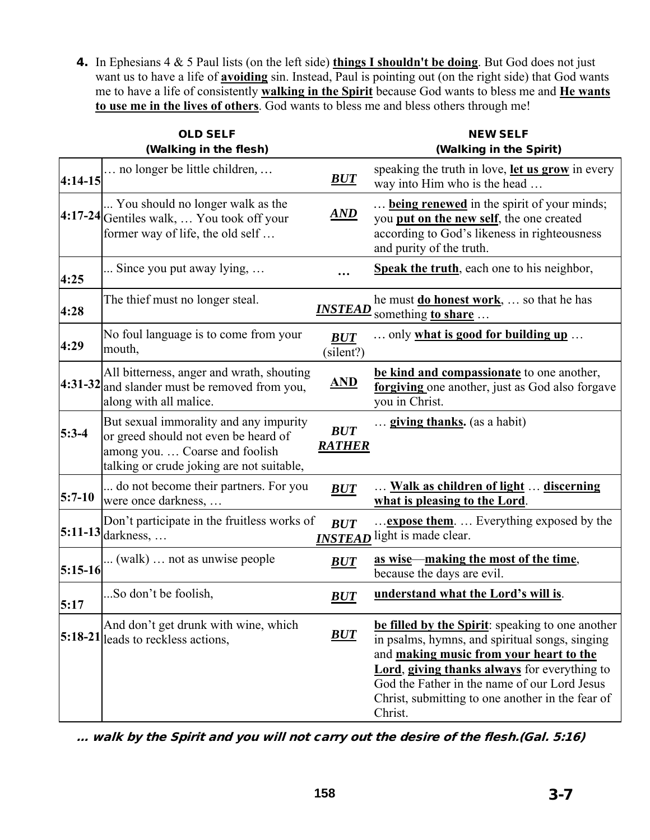4. In Ephesians 4 & 5 Paul lists (on the left side) **things I shouldn't be doing**. But God does not just want us to have a life of **avoiding** sin. Instead, Paul is pointing out (on the right side) that God wants me to have a life of consistently **walking in the Spirit** because God wants to bless me and **He wants to use me in the lives of others**. God wants to bless me and bless others through me!

| <b>OLD SELF</b> |                                                                                                                                                               |                              | <b>NEW SELF</b>                                                                                                                                                                                                                                                                                              |
|-----------------|---------------------------------------------------------------------------------------------------------------------------------------------------------------|------------------------------|--------------------------------------------------------------------------------------------------------------------------------------------------------------------------------------------------------------------------------------------------------------------------------------------------------------|
| $4:14-15$       | (Walking in the flesh)<br>no longer be little children,                                                                                                       | <b>BUT</b>                   | (Walking in the Spirit)<br>speaking the truth in love, let us grow in every<br>way into Him who is the head                                                                                                                                                                                                  |
|                 | You should no longer walk as the<br>4:17-24 Gentiles walk,  You took off your<br>former way of life, the old self                                             | $\overline{AND}$             | <b>being renewed</b> in the spirit of your minds;<br>you put on the new self, the one created<br>according to God's likeness in righteousness<br>and purity of the truth.                                                                                                                                    |
| 4:25            | Since you put away lying,                                                                                                                                     |                              | Speak the truth, each one to his neighbor,                                                                                                                                                                                                                                                                   |
| 4:28            | The thief must no longer steal.                                                                                                                               | <b>INSTEAD</b>               | he must <b>do honest work</b> ,  so that he has<br>something to share                                                                                                                                                                                                                                        |
| 4:29            | No foul language is to come from your<br>mouth,                                                                                                               | BUT<br>(silent?)             | only what is good for building up                                                                                                                                                                                                                                                                            |
|                 | All bitterness, anger and wrath, shouting<br>4:31-32 and slander must be removed from you,<br>along with all malice.                                          | <u>AND</u>                   | be kind and compassionate to one another,<br>forgiving one another, just as God also forgave<br>you in Christ.                                                                                                                                                                                               |
| $5:3-4$         | But sexual immorality and any impurity<br>or greed should not even be heard of<br>among you.  Coarse and foolish<br>talking or crude joking are not suitable, | <b>BUT</b><br><b>RATHER</b>  | <b>giving thanks.</b> (as a habit)                                                                                                                                                                                                                                                                           |
| $5:7-10$        | do not become their partners. For you<br>were once darkness,                                                                                                  | <b>BUT</b>                   | Walk as children of light  discerning<br>what is pleasing to the Lord.                                                                                                                                                                                                                                       |
|                 | Don't participate in the fruitless works of<br>$5:11-13$ darkness,                                                                                            | <b>BUT</b><br><u>INSTEAD</u> | <b>expose them</b> .  Everything exposed by the<br>light is made clear.                                                                                                                                                                                                                                      |
| $5:15-16$       | (walk)  not as unwise people                                                                                                                                  | BUT                          | <u>as wise—making the most of the time,</u><br>because the days are evil.                                                                                                                                                                                                                                    |
| 5:17            | So don't be foolish,                                                                                                                                          | <b>BUT</b>                   | understand what the Lord's will is.                                                                                                                                                                                                                                                                          |
|                 | And don't get drunk with wine, which<br>5:18-21 leads to reckless actions,                                                                                    | BUT                          | be filled by the Spirit: speaking to one another<br>in psalms, hymns, and spiritual songs, singing<br>and making music from your heart to the<br>Lord, giving thanks always for everything to<br>God the Father in the name of our Lord Jesus<br>Christ, submitting to one another in the fear of<br>Christ. |

… walk by the Spirit and you will not carry out the desire of the flesh.(Gal. 5:16)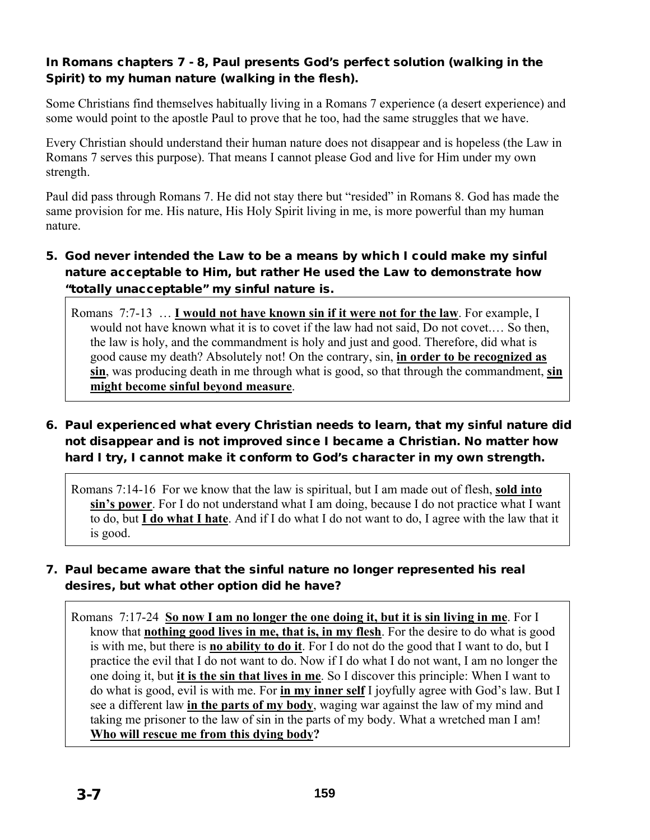### In Romans chapters 7 - 8, Paul presents God's perfect solution (walking in the Spirit) to my human nature (walking in the flesh).

Some Christians find themselves habitually living in a Romans 7 experience (a desert experience) and some would point to the apostle Paul to prove that he too, had the same struggles that we have.

Every Christian should understand their human nature does not disappear and is hopeless (the Law in Romans 7 serves this purpose). That means I cannot please God and live for Him under my own strength.

Paul did pass through Romans 7. He did not stay there but "resided" in Romans 8. God has made the same provision for me. His nature, His Holy Spirit living in me, is more powerful than my human nature.

### 5. God never intended the Law to be a means by which I could make my sinful nature acceptable to Him, but rather He used the Law to demonstrate how "totally unacceptable" my sinful nature is.

Romans 7:7-13 … **I would not have known sin if it were not for the law**. For example, I would not have known what it is to covet if the law had not said, Do not covet.… So then, the law is holy, and the commandment is holy and just and good. Therefore, did what is good cause my death? Absolutely not! On the contrary, sin, **in order to be recognized as sin**, was producing death in me through what is good, so that through the commandment, **sin might become sinful beyond measure**.

## 6. Paul experienced what every Christian needs to learn, that my sinful nature did not disappear and is not improved since I became a Christian. No matter how hard I try, I cannot make it conform to God's character in my own strength.

Romans 7:14-16 For we know that the law is spiritual, but I am made out of flesh, **sold into sin's power**. For I do not understand what I am doing, because I do not practice what I want to do, but **I do what I hate**. And if I do what I do not want to do, I agree with the law that it is good.

## 7. Paul became aware that the sinful nature no longer represented his real desires, but what other option did he have?

Romans 7:17-24 **So now I am no longer the one doing it, but it is sin living in me**. For I know that **nothing good lives in me, that is, in my flesh**. For the desire to do what is good is with me, but there is **no ability to do it**. For I do not do the good that I want to do, but I practice the evil that I do not want to do. Now if I do what I do not want, I am no longer the one doing it, but **it is the sin that lives in me**. So I discover this principle: When I want to do what is good, evil is with me. For **in my inner self** I joyfully agree with God's law. But I see a different law **in the parts of my body**, waging war against the law of my mind and taking me prisoner to the law of sin in the parts of my body. What a wretched man I am! **Who will rescue me from this dying body?**